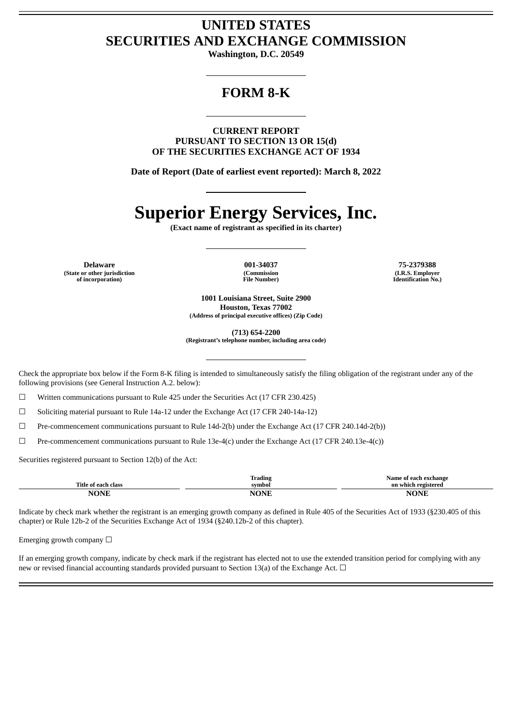# **UNITED STATES SECURITIES AND EXCHANGE COMMISSION**

**Washington, D.C. 20549**

## **FORM 8-K**

**CURRENT REPORT PURSUANT TO SECTION 13 OR 15(d) OF THE SECURITIES EXCHANGE ACT OF 1934**

**Date of Report (Date of earliest event reported): March 8, 2022**

# **Superior Energy Services, Inc.**

**(Exact name of registrant as specified in its charter)**

**Delaware 001-34037 75-2379388 (State or other jurisdiction of incorporation)**

**(Commission File Number)**

**(I.R.S. Employer Identification No.)**

**1001 Louisiana Street, Suite 2900 Houston, Texas 77002 (Address of principal executive offices) (Zip Code)**

**(713) 654-2200**

**(Registrant's telephone number, including area code)**

Check the appropriate box below if the Form 8-K filing is intended to simultaneously satisfy the filing obligation of the registrant under any of the following provisions (see General Instruction A.2. below):

☐ Written communications pursuant to Rule 425 under the Securities Act (17 CFR 230.425)

☐ Soliciting material pursuant to Rule 14a-12 under the Exchange Act (17 CFR 240-14a-12)

☐ Pre-commencement communications pursuant to Rule 14d-2(b) under the Exchange Act (17 CFR 240.14d-2(b))

 $\Box$  Pre-commencement communications pursuant to Rule 13e-4(c) under the Exchange Act (17 CFR 240.13e-4(c))

Securities registered pursuant to Section 12(b) of the Act:

|                                     | Trading     | Name of each exchange |
|-------------------------------------|-------------|-----------------------|
| Title.<br>' each-<br>. class<br>-nt | svmbol      | on which registered   |
| VONT                                | <b>NONE</b> | NAND                  |

Indicate by check mark whether the registrant is an emerging growth company as defined in Rule 405 of the Securities Act of 1933 (§230.405 of this chapter) or Rule 12b-2 of the Securities Exchange Act of 1934 (§240.12b-2 of this chapter).

Emerging growth company  $\Box$ 

If an emerging growth company, indicate by check mark if the registrant has elected not to use the extended transition period for complying with any new or revised financial accounting standards provided pursuant to Section 13(a) of the Exchange Act.  $\Box$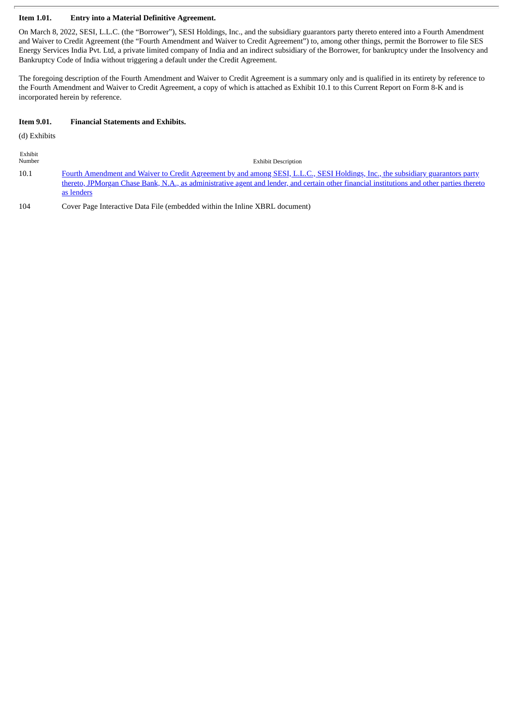#### **Item 1.01. Entry into a Material Definitive Agreement.**

On March 8, 2022, SESI, L.L.C. (the "Borrower"), SESI Holdings, Inc., and the subsidiary guarantors party thereto entered into a Fourth Amendment and Waiver to Credit Agreement (the "Fourth Amendment and Waiver to Credit Agreement") to, among other things, permit the Borrower to file SES Energy Services India Pvt. Ltd, a private limited company of India and an indirect subsidiary of the Borrower, for bankruptcy under the Insolvency and Bankruptcy Code of India without triggering a default under the Credit Agreement.

The foregoing description of the Fourth Amendment and Waiver to Credit Agreement is a summary only and is qualified in its entirety by reference to the Fourth Amendment and Waiver to Credit Agreement, a copy of which is attached as Exhibit 10.1 to this Current Report on Form 8-K and is incorporated herein by reference.

#### **Item 9.01. Financial Statements and Exhibits.**

(d) Exhibits

Exhibit

| Number | <b>Exhibit Description</b>                                                                                                                                                                                                                                                    |
|--------|-------------------------------------------------------------------------------------------------------------------------------------------------------------------------------------------------------------------------------------------------------------------------------|
| 10.1   | Fourth Amendment and Waiver to Credit Agreement by and among SESI, L.L.C., SESI Holdings, Inc., the subsidiary guarantors party<br>thereto, JPMorgan Chase Bank, N.A., as administrative agent and lender, and certain other financial institutions and other parties thereto |
|        | as lenders                                                                                                                                                                                                                                                                    |

104 Cover Page Interactive Data File (embedded within the Inline XBRL document)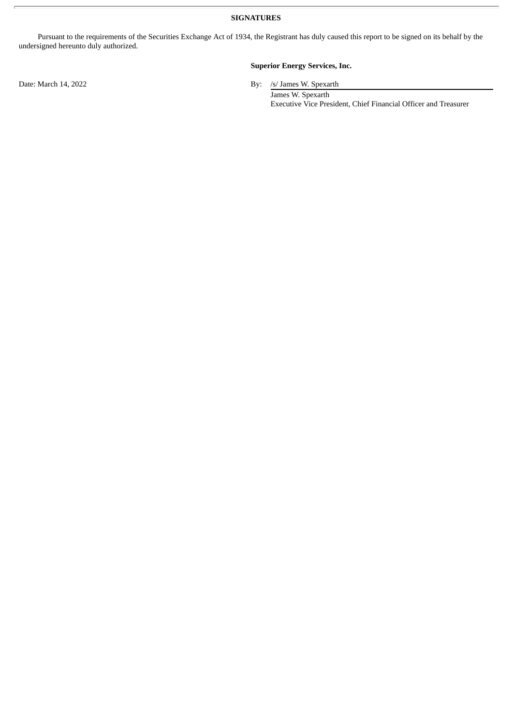**SIGNATURES**

Pursuant to the requirements of the Securities Exchange Act of 1934, the Registrant has duly caused this report to be signed on its behalf by the undersigned hereunto duly authorized.

#### **Superior Energy Services, Inc.**

Date: March 14, 2022 By: /s/ James W. Spexarth

James W. Spexarth Executive Vice President, Chief Financial Officer and Treasurer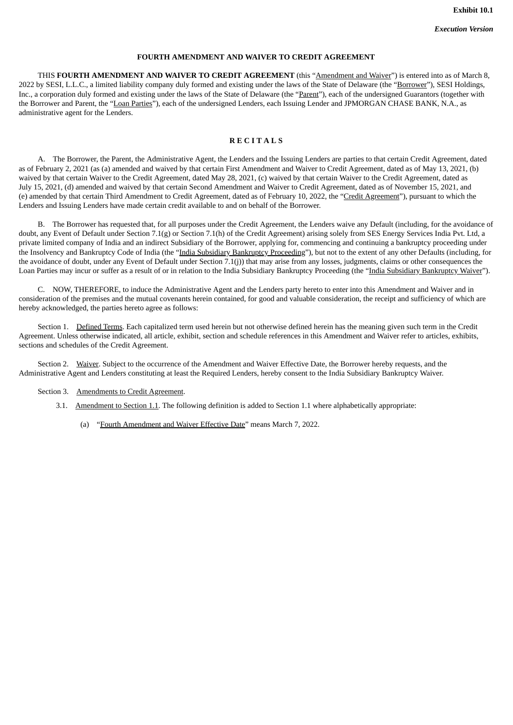#### **FOURTH AMENDMENT AND WAIVER TO CREDIT AGREEMENT**

<span id="page-3-0"></span>THIS **FOURTH AMENDMENT AND WAIVER TO CREDIT AGREEMENT** (this "Amendment and Waiver") is entered into as of March 8, 2022 by SESI, L.L.C., a limited liability company duly formed and existing under the laws of the State of Delaware (the "Borrower"), SESI Holdings, Inc., a corporation duly formed and existing under the laws of the State of Delaware (the "Parent"), each of the undersigned Guarantors (together with the Borrower and Parent, the "Loan Parties"), each of the undersigned Lenders, each Issuing Lender and JPMORGAN CHASE BANK, N.A., as administrative agent for the Lenders.

#### **R E C I T A L S**

A. The Borrower, the Parent, the Administrative Agent, the Lenders and the Issuing Lenders are parties to that certain Credit Agreement, dated as of February 2, 2021 (as (a) amended and waived by that certain First Amendment and Waiver to Credit Agreement, dated as of May 13, 2021, (b) waived by that certain Waiver to the Credit Agreement, dated May 28, 2021, (c) waived by that certain Waiver to the Credit Agreement, dated as July 15, 2021, (d) amended and waived by that certain Second Amendment and Waiver to Credit Agreement, dated as of November 15, 2021, and (e) amended by that certain Third Amendment to Credit Agreement, dated as of February 10, 2022, the "Credit Agreement"), pursuant to which the Lenders and Issuing Lenders have made certain credit available to and on behalf of the Borrower.

B. The Borrower has requested that, for all purposes under the Credit Agreement, the Lenders waive any Default (including, for the avoidance of doubt, any Event of Default under Section 7.1(g) or Section 7.1(h) of the Credit Agreement) arising solely from SES Energy Services India Pvt. Ltd, a private limited company of India and an indirect Subsidiary of the Borrower, applying for, commencing and continuing a bankruptcy proceeding under the Insolvency and Bankruptcy Code of India (the "India Subsidiary Bankruptcy Proceeding"), but not to the extent of any other Defaults (including, for the avoidance of doubt, under any Event of Default under Section 7.1(j)) that may arise from any losses, judgments, claims or other consequences the Loan Parties may incur or suffer as a result of or in relation to the India Subsidiary Bankruptcy Proceeding (the "India Subsidiary Bankruptcy Waiver").

C. NOW, THEREFORE, to induce the Administrative Agent and the Lenders party hereto to enter into this Amendment and Waiver and in consideration of the premises and the mutual covenants herein contained, for good and valuable consideration, the receipt and sufficiency of which are hereby acknowledged, the parties hereto agree as follows:

Section 1. Defined Terms. Each capitalized term used herein but not otherwise defined herein has the meaning given such term in the Credit Agreement. Unless otherwise indicated, all article, exhibit, section and schedule references in this Amendment and Waiver refer to articles, exhibits, sections and schedules of the Credit Agreement.

Section 2. Waiver. Subject to the occurrence of the Amendment and Waiver Effective Date, the Borrower hereby requests, and the Administrative Agent and Lenders constituting at least the Required Lenders, hereby consent to the India Subsidiary Bankruptcy Waiver.

#### Section 3. Amendments to Credit Agreement.

- 3.1. Amendment to Section 1.1. The following definition is added to Section 1.1 where alphabetically appropriate:
	- (a) "Fourth Amendment and Waiver Effective Date" means March 7, 2022.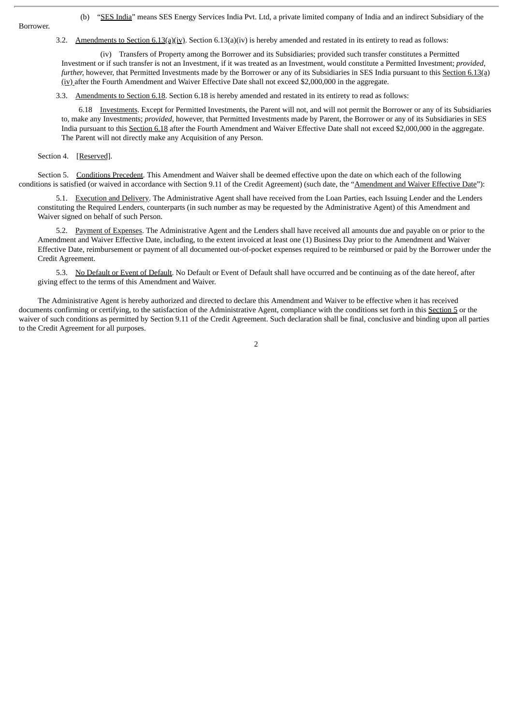Borrower.

(b) "SES India" means SES Energy Services India Pvt. Ltd, a private limited company of India and an indirect Subsidiary of the

3.2. Amendments to Section  $6.13(a)(iv)$ . Section  $6.13(a)(iv)$  is hereby amended and restated in its entirety to read as follows:

(iv) Transfers of Property among the Borrower and its Subsidiaries; provided such transfer constitutes a Permitted Investment or if such transfer is not an Investment, if it was treated as an Investment, would constitute a Permitted Investment; *provided*, *further*, however, that Permitted Investments made by the Borrower or any of its Subsidiaries in SES India pursuant to this Section 6.13(a) (iv) after the Fourth Amendment and Waiver Effective Date shall not exceed \$2,000,000 in the aggregate.

3.3. Amendments to Section 6.18. Section 6.18 is hereby amended and restated in its entirety to read as follows:

6.18 Investments. Except for Permitted Investments, the Parent will not, and will not permit the Borrower or any of its Subsidiaries to, make any Investments; *provided*, however, that Permitted Investments made by Parent, the Borrower or any of its Subsidiaries in SES India pursuant to this Section 6.18 after the Fourth Amendment and Waiver Effective Date shall not exceed \$2,000,000 in the aggregate. The Parent will not directly make any Acquisition of any Person.

Section 4. [Reserved].

Section 5. Conditions Precedent. This Amendment and Waiver shall be deemed effective upon the date on which each of the following conditions is satisfied (or waived in accordance with Section 9.11 of the Credit Agreement) (such date, the "Amendment and Waiver Effective Date"):

5.1. Execution and Delivery. The Administrative Agent shall have received from the Loan Parties, each Issuing Lender and the Lenders constituting the Required Lenders, counterparts (in such number as may be requested by the Administrative Agent) of this Amendment and Waiver signed on behalf of such Person.

5.2. Payment of Expenses. The Administrative Agent and the Lenders shall have received all amounts due and payable on or prior to the Amendment and Waiver Effective Date, including, to the extent invoiced at least one (1) Business Day prior to the Amendment and Waiver Effective Date, reimbursement or payment of all documented out-of-pocket expenses required to be reimbursed or paid by the Borrower under the Credit Agreement.

5.3. No Default or Event of Default. No Default or Event of Default shall have occurred and be continuing as of the date hereof, after giving effect to the terms of this Amendment and Waiver.

The Administrative Agent is hereby authorized and directed to declare this Amendment and Waiver to be effective when it has received documents confirming or certifying, to the satisfaction of the Administrative Agent, compliance with the conditions set forth in this Section 5 or the waiver of such conditions as permitted by Section 9.11 of the Credit Agreement. Such declaration shall be final, conclusive and binding upon all parties to the Credit Agreement for all purposes.

2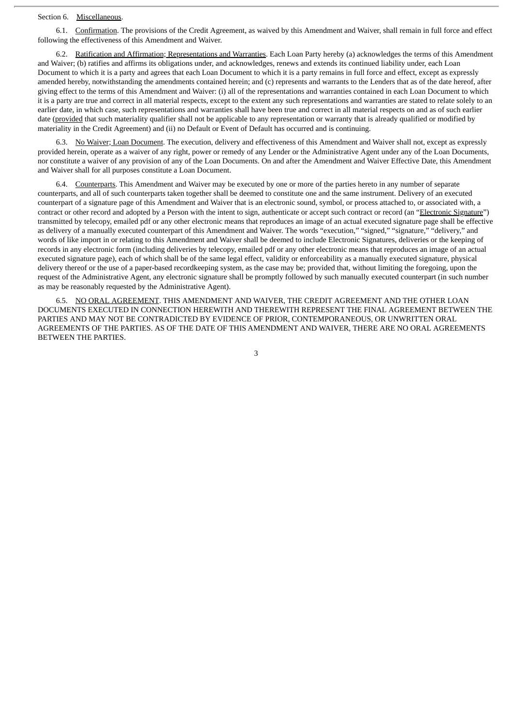#### Section 6. Miscellaneous.

6.1. Confirmation. The provisions of the Credit Agreement, as waived by this Amendment and Waiver, shall remain in full force and effect following the effectiveness of this Amendment and Waiver.

6.2. Ratification and Affirmation; Representations and Warranties. Each Loan Party hereby (a) acknowledges the terms of this Amendment and Waiver; (b) ratifies and affirms its obligations under, and acknowledges, renews and extends its continued liability under, each Loan Document to which it is a party and agrees that each Loan Document to which it is a party remains in full force and effect, except as expressly amended hereby, notwithstanding the amendments contained herein; and (c) represents and warrants to the Lenders that as of the date hereof, after giving effect to the terms of this Amendment and Waiver: (i) all of the representations and warranties contained in each Loan Document to which it is a party are true and correct in all material respects, except to the extent any such representations and warranties are stated to relate solely to an earlier date, in which case, such representations and warranties shall have been true and correct in all material respects on and as of such earlier date (provided that such materiality qualifier shall not be applicable to any representation or warranty that is already qualified or modified by materiality in the Credit Agreement) and (ii) no Default or Event of Default has occurred and is continuing.

6.3. No Waiver; Loan Document. The execution, delivery and effectiveness of this Amendment and Waiver shall not, except as expressly provided herein, operate as a waiver of any right, power or remedy of any Lender or the Administrative Agent under any of the Loan Documents, nor constitute a waiver of any provision of any of the Loan Documents. On and after the Amendment and Waiver Effective Date, this Amendment and Waiver shall for all purposes constitute a Loan Document.

6.4. Counterparts. This Amendment and Waiver may be executed by one or more of the parties hereto in any number of separate counterparts, and all of such counterparts taken together shall be deemed to constitute one and the same instrument. Delivery of an executed counterpart of a signature page of this Amendment and Waiver that is an electronic sound, symbol, or process attached to, or associated with, a contract or other record and adopted by a Person with the intent to sign, authenticate or accept such contract or record (an "Electronic Signature") transmitted by telecopy, emailed pdf or any other electronic means that reproduces an image of an actual executed signature page shall be effective as delivery of a manually executed counterpart of this Amendment and Waiver. The words "execution," "signed," "signature," "delivery," and words of like import in or relating to this Amendment and Waiver shall be deemed to include Electronic Signatures, deliveries or the keeping of records in any electronic form (including deliveries by telecopy, emailed pdf or any other electronic means that reproduces an image of an actual executed signature page), each of which shall be of the same legal effect, validity or enforceability as a manually executed signature, physical delivery thereof or the use of a paper-based recordkeeping system, as the case may be; provided that, without limiting the foregoing, upon the request of the Administrative Agent, any electronic signature shall be promptly followed by such manually executed counterpart (in such number as may be reasonably requested by the Administrative Agent).

6.5. NO ORAL AGREEMENT. THIS AMENDMENT AND WAIVER, THE CREDIT AGREEMENT AND THE OTHER LOAN DOCUMENTS EXECUTED IN CONNECTION HEREWITH AND THEREWITH REPRESENT THE FINAL AGREEMENT BETWEEN THE PARTIES AND MAY NOT BE CONTRADICTED BY EVIDENCE OF PRIOR, CONTEMPORANEOUS, OR UNWRITTEN ORAL AGREEMENTS OF THE PARTIES. AS OF THE DATE OF THIS AMENDMENT AND WAIVER, THERE ARE NO ORAL AGREEMENTS BETWEEN THE PARTIES.

3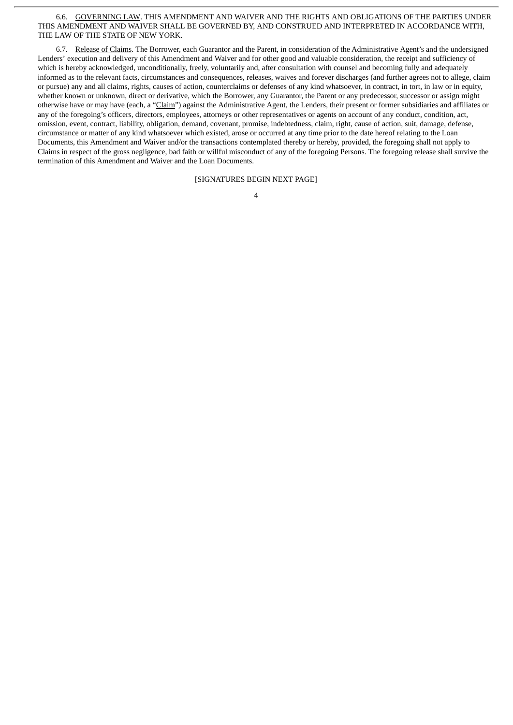#### 6.6. GOVERNING LAW. THIS AMENDMENT AND WAIVER AND THE RIGHTS AND OBLIGATIONS OF THE PARTIES UNDER THIS AMENDMENT AND WAIVER SHALL BE GOVERNED BY, AND CONSTRUED AND INTERPRETED IN ACCORDANCE WITH, THE LAW OF THE STATE OF NEW YORK.

6.7. Release of Claims. The Borrower, each Guarantor and the Parent, in consideration of the Administrative Agent's and the undersigned Lenders' execution and delivery of this Amendment and Waiver and for other good and valuable consideration, the receipt and sufficiency of which is hereby acknowledged, unconditionally, freely, voluntarily and, after consultation with counsel and becoming fully and adequately informed as to the relevant facts, circumstances and consequences, releases, waives and forever discharges (and further agrees not to allege, claim or pursue) any and all claims, rights, causes of action, counterclaims or defenses of any kind whatsoever, in contract, in tort, in law or in equity, whether known or unknown, direct or derivative, which the Borrower, any Guarantor, the Parent or any predecessor, successor or assign might otherwise have or may have (each, a "Claim") against the Administrative Agent, the Lenders, their present or former subsidiaries and affiliates or any of the foregoing's officers, directors, employees, attorneys or other representatives or agents on account of any conduct, condition, act, omission, event, contract, liability, obligation, demand, covenant, promise, indebtedness, claim, right, cause of action, suit, damage, defense, circumstance or matter of any kind whatsoever which existed, arose or occurred at any time prior to the date hereof relating to the Loan Documents, this Amendment and Waiver and/or the transactions contemplated thereby or hereby, provided, the foregoing shall not apply to Claims in respect of the gross negligence, bad faith or willful misconduct of any of the foregoing Persons. The foregoing release shall survive the termination of this Amendment and Waiver and the Loan Documents.

[SIGNATURES BEGIN NEXT PAGE]

| I |
|---|
|   |
|   |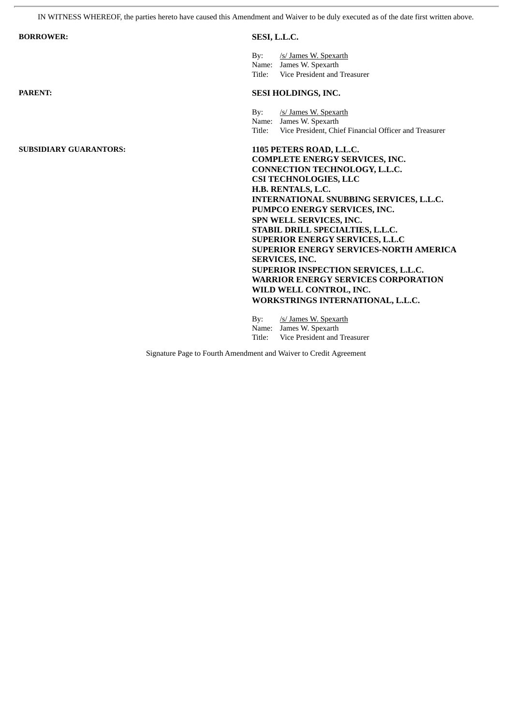IN WITNESS WHEREOF, the parties hereto have caused this Amendment and Waiver to be duly executed as of the date first written above.

| <b>BORROWER:</b>              | SESI, L.L.C.                                                                                                                                                                                                                                                                                                                                                                                                                                                                                                                                                          |  |
|-------------------------------|-----------------------------------------------------------------------------------------------------------------------------------------------------------------------------------------------------------------------------------------------------------------------------------------------------------------------------------------------------------------------------------------------------------------------------------------------------------------------------------------------------------------------------------------------------------------------|--|
|                               | /s/ James W. Spexarth<br>Bv:<br>Name: James W. Spexarth<br>Title: Vice President and Treasurer                                                                                                                                                                                                                                                                                                                                                                                                                                                                        |  |
| <b>PARENT:</b>                | SESI HOLDINGS, INC.                                                                                                                                                                                                                                                                                                                                                                                                                                                                                                                                                   |  |
|                               | /s/ James W. Spexarth<br>$\mathbf{B} \mathbf{v}$ :<br>Name: James W. Spexarth<br>Title: Vice President, Chief Financial Officer and Treasurer                                                                                                                                                                                                                                                                                                                                                                                                                         |  |
| <b>SUBSIDIARY GUARANTORS:</b> | 1105 PETERS ROAD, L.L.C.<br><b>COMPLETE ENERGY SERVICES, INC.</b><br>CONNECTION TECHNOLOGY, L.L.C.<br><b>CSI TECHNOLOGIES, LLC</b><br>H.B. RENTALS, L.C.<br>INTERNATIONAL SNUBBING SERVICES, L.L.C.<br>PUMPCO ENERGY SERVICES, INC.<br>SPN WELL SERVICES, INC.<br>STABIL DRILL SPECIALTIES, L.L.C.<br><b>SUPERIOR ENERGY SERVICES, L.L.C</b><br><b>SUPERIOR ENERGY SERVICES-NORTH AMERICA</b><br>SERVICES, INC.<br>SUPERIOR INSPECTION SERVICES, L.L.C.<br><b>WARRIOR ENERGY SERVICES CORPORATION</b><br>WILD WELL CONTROL, INC.<br>WORKSTRINGS INTERNATIONAL, L.L.C. |  |
|                               | /s/ James W. Spexarth<br>Bv:<br>Name: James W. Spexarth<br>Vice President and Treasurer<br>Title:                                                                                                                                                                                                                                                                                                                                                                                                                                                                     |  |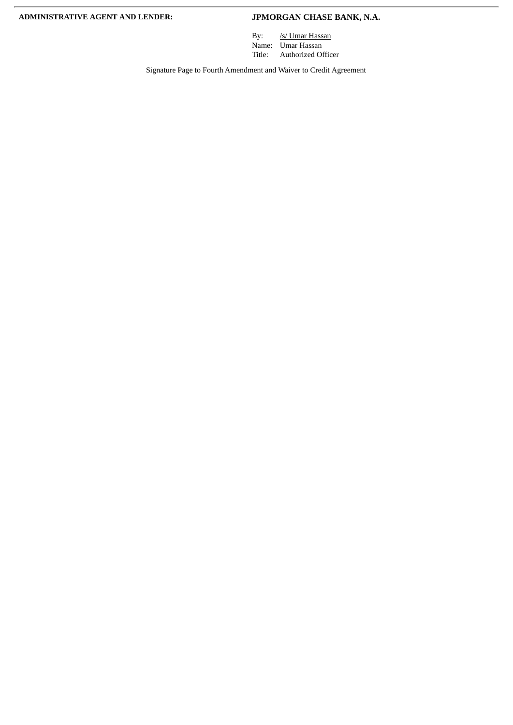By: /s/ Umar Hassan Name: Umar Hassan Title: Authorized Officer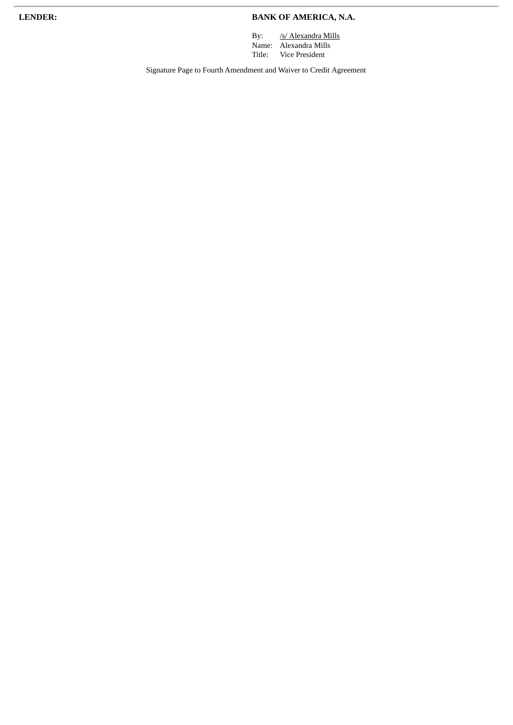### **LENDER: BANK OF AMERICA, N.A.**

By: /s/ Alexandra Mills Name: Alexandra Mills Title: Vice President